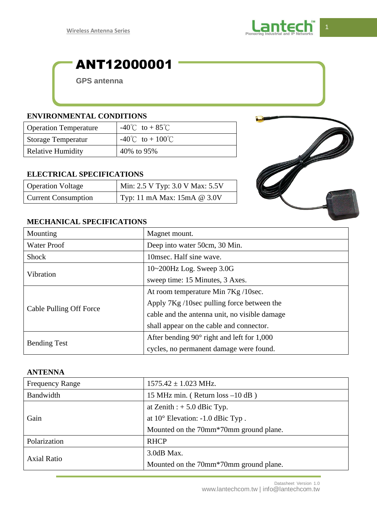

# ANT12000001

**GPS antenna**

#### **ENVIRONMENTAL CONDITIONS**

| <b>Operation Temperature</b> | $-40^{\circ}$ C to + 85 $^{\circ}$ C    |
|------------------------------|-----------------------------------------|
| <b>Storage Temperatur</b>    | $-40^{\circ}$ C to + 100 <sup>°</sup> C |
| <b>Relative Humidity</b>     | 40% to 95%                              |

#### **ELECTRICAL SPECIFICATIONS**

| <b>Operation Voltage</b>   | Min: 2.5 V Typ: 3.0 V Max: 5.5V |
|----------------------------|---------------------------------|
| <b>Current Consumption</b> | Typ: 11 mA Max: $15mA @ 3.0V$   |



#### **MECHANICAL SPECIFICATIONS**

| Mounting                | Magnet mount.                                     |
|-------------------------|---------------------------------------------------|
| <b>Water Proof</b>      | Deep into water 50cm, 30 Min.                     |
| <b>Shock</b>            | 10msec. Half sine wave.                           |
| Vibration               | $10~200$ Hz Log. Sweep 3.0G                       |
|                         | sweep time: 15 Minutes, 3 Axes.                   |
| Cable Pulling Off Force | At room temperature Min 7Kg / 10sec.              |
|                         | Apply 7Kg /10sec pulling force between the        |
|                         | cable and the antenna unit, no visible damage     |
|                         | shall appear on the cable and connector.          |
| <b>Bending Test</b>     | After bending $90^\circ$ right and left for 1,000 |
|                         | cycles, no permanent damage were found.           |

### **ANTENNA**

| <b>Frequency Range</b> | $1575.42 \pm 1.023$ MHz.                            |
|------------------------|-----------------------------------------------------|
| Bandwidth              | 15 MHz min. (Return $loss -10 dB$ )                 |
| Gain                   | at Zenith : $+ 5.0$ dBic Typ.                       |
|                        | at $10^{\circ}$ Elevation: $-1.0$ dBic Typ.         |
|                        | Mounted on the 70mm <sup>*70</sup> mm ground plane. |
| Polarization           | <b>RHCP</b>                                         |
| <b>Axial Ratio</b>     | 3.0dB Max.                                          |
|                        | Mounted on the 70mm*70mm ground plane.              |